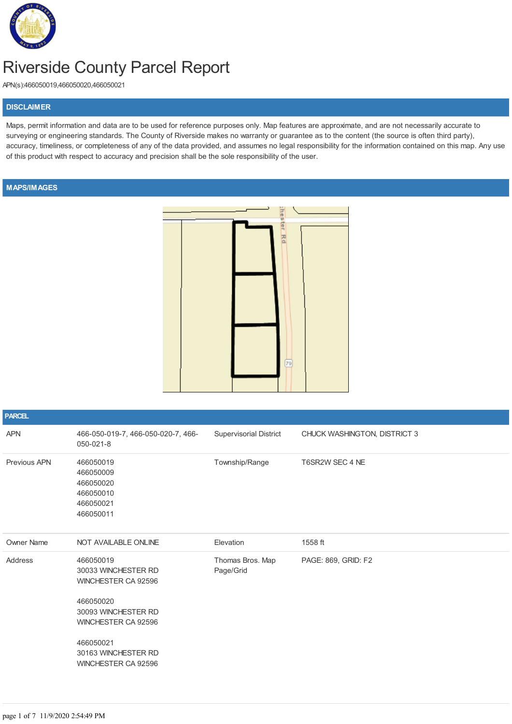

# Riverside County Parcel Report

APN(s):466050019,466050020,466050021

#### **DISCLAIMER**

Maps, permit information and data are to be used for reference purposes only. Map features are approximate, and are not necessarily accurate to surveying or engineering standards. The County of Riverside makes no warranty or guarantee as to the content (the source is often third party), accuracy, timeliness, or completeness of any of the data provided, and assumes no legal responsibility for the information contained on this map. Any use of this product with respect to accuracy and precision shall be the sole responsibility of the user.

### **MAPS/IMAGES**



| <b>PARCEL</b>     |                                                                                                                                                                               |                               |                              |
|-------------------|-------------------------------------------------------------------------------------------------------------------------------------------------------------------------------|-------------------------------|------------------------------|
| <b>APN</b>        | 466-050-019-7, 466-050-020-7, 466-<br>050-021-8                                                                                                                               | Supervisorial District        | CHUCK WASHINGTON, DISTRICT 3 |
| Previous APN      | 466050019<br>466050009<br>466050020<br>466050010<br>466050021<br>466050011                                                                                                    | Township/Range                | T6SR2W SEC 4 NE              |
| <b>Owner Name</b> | NOT AVAILABLE ONLINE                                                                                                                                                          | Elevation                     | 1558 ft                      |
| Address           | 466050019<br>30033 WINCHESTER RD<br>WINCHESTER CA 92596<br>466050020<br>30093 WINCHESTER RD<br>WINCHESTER CA 92596<br>466050021<br>30163 WINCHESTER RD<br>WINCHESTER CA 92596 | Thomas Bros. Map<br>Page/Grid | PAGE: 869, GRID: F2          |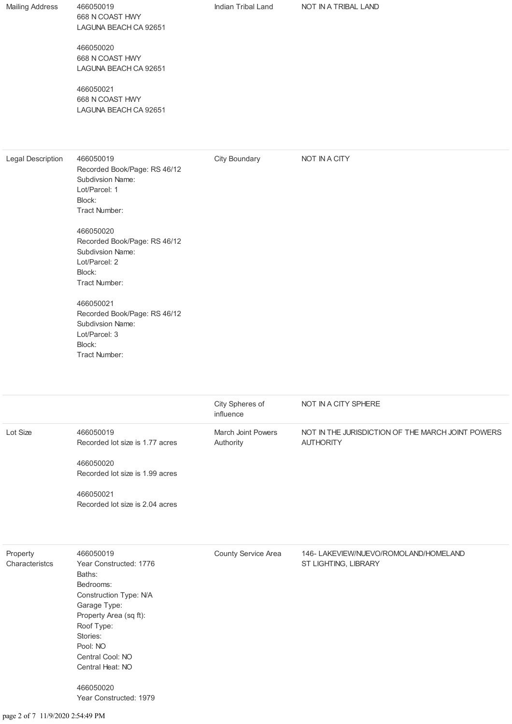| <b>Mailing Address</b>     | 466050019<br>668 N COAST HWY<br>LAGUNA BEACH CA 92651<br>466050020<br>668 N COAST HWY<br>LAGUNA BEACH CA 92651<br>466050021<br>668 N COAST HWY<br>LAGUNA BEACH CA 92651                                                                                                                                                             | Indian Tribal Land              | NOT IN A TRIBAL LAND                                                  |
|----------------------------|-------------------------------------------------------------------------------------------------------------------------------------------------------------------------------------------------------------------------------------------------------------------------------------------------------------------------------------|---------------------------------|-----------------------------------------------------------------------|
| <b>Legal Description</b>   | 466050019<br>Recorded Book/Page: RS 46/12<br>Subdivsion Name:<br>Lot/Parcel: 1<br>Block:<br>Tract Number:<br>466050020<br>Recorded Book/Page: RS 46/12<br>Subdivsion Name:<br>Lot/Parcel: 2<br>Block:<br>Tract Number:<br>466050021<br>Recorded Book/Page: RS 46/12<br>Subdivsion Name:<br>Lot/Parcel: 3<br>Block:<br>Tract Number: | City Boundary                   | NOT IN A CITY                                                         |
|                            |                                                                                                                                                                                                                                                                                                                                     | City Spheres of<br>influence    | NOT IN A CITY SPHERE                                                  |
| Lot Size                   | 466050019<br>Recorded lot size is 1.77 acres<br>466050020<br>Recorded lot size is 1.99 acres<br>466050021<br>Recorded lot size is 2.04 acres                                                                                                                                                                                        | March Joint Powers<br>Authority | NOT IN THE JURISDICTION OF THE MARCH JOINT POWERS<br><b>AUTHORITY</b> |
| Property<br>Characteristcs | 466050019<br>Year Constructed: 1776<br>Baths:<br>Bedrooms:<br>Construction Type: N/A<br>Garage Type:<br>Property Area (sq ft):<br>Roof Type:<br>Stories:<br>Pool: NO                                                                                                                                                                | County Service Area             | 146- LAKEVIEW/NUEVO/ROMOLAND/HOMELAND<br>ST LIGHTING, LIBRARY         |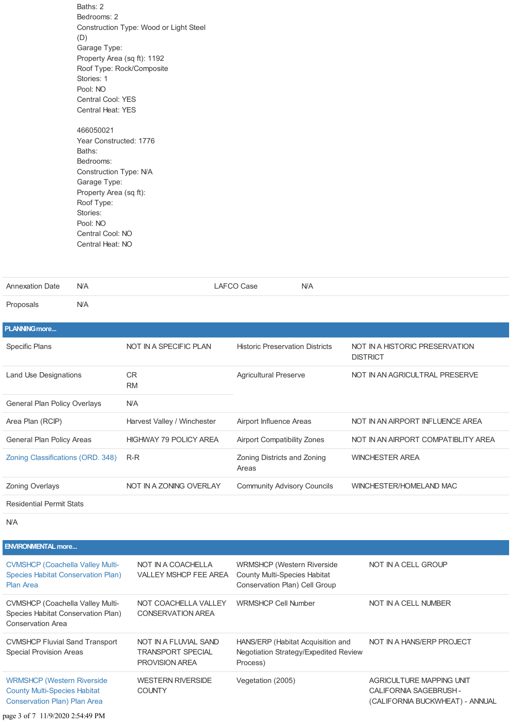Baths: 2 Bedrooms: 2 Construction Type: Wood or Light Steel (D) Garage Type: Property Area (sq ft): 1192 Roof Type: Rock/Composite Stories: 1 Pool: NO Central Cool: YES Central Heat: YES 466050021

Year Constructed: 1776 Baths: Bedrooms: Construction Type: N/A Garage Type: Property Area (sq ft): Roof Type: Stories: Pool: NO Central Cool: NO Central Heat: NO

| <b>Annexation Date</b>            | <b>N/A</b> |                               | <b>LAFCO Case</b><br>N/A               |                                                   |
|-----------------------------------|------------|-------------------------------|----------------------------------------|---------------------------------------------------|
| Proposals                         | <b>N/A</b> |                               |                                        |                                                   |
| <b>PLANNING more</b>              |            |                               |                                        |                                                   |
| <b>Specific Plans</b>             |            | NOT IN A SPECIFIC PLAN        | <b>Historic Preservation Districts</b> | NOT IN A HISTORIC PRESERVATION<br><b>DISTRICT</b> |
| <b>Land Use Designations</b>      |            | <b>CR</b><br><b>RM</b>        | <b>Agricultural Preserve</b>           | NOT IN AN AGRICULTRAL PRESERVE                    |
| General Plan Policy Overlays      |            | <b>N/A</b>                    |                                        |                                                   |
| Area Plan (RCIP)                  |            | Harvest Valley / Winchester   | Airport Influence Areas                | NOT IN AN AIRPORT INFLUENCE AREA                  |
| General Plan Policy Areas         |            | <b>HIGHWAY 79 POLICY AREA</b> | <b>Airport Compatibility Zones</b>     | NOT IN AN AIRPORT COMPATIBLITY AREA               |
| Zoning Classifications (ORD. 348) |            | R-R                           | Zoning Districts and Zoning<br>Areas   | <b>WINCHESTER AREA</b>                            |
| <b>Zoning Overlays</b>            |            | NOT IN A ZONING OVERLAY       | <b>Community Advisory Councils</b>     | WINCHESTER/HOMELAND MAC                           |
| <b>Residential Permit Stats</b>   |            |                               |                                        |                                                   |

N/A

| <b>ENVIRONMENTAL more</b>                                                                                       |                                                                            |                                                                                                           |                                                                                       |
|-----------------------------------------------------------------------------------------------------------------|----------------------------------------------------------------------------|-----------------------------------------------------------------------------------------------------------|---------------------------------------------------------------------------------------|
| <b>CVMSHCP (Coachella Valley Multi-</b><br><b>Species Habitat Conservation Plan)</b><br><b>Plan Area</b>        | NOT IN A COACHELLA<br><b>VALLEY MSHCP FEE AREA</b>                         | <b>WRMSHCP (Western Riverside</b><br><b>County Multi-Species Habitat</b><br>Conservation Plan) Cell Group | NOT IN A CELL GROUP                                                                   |
| <b>CVMSHCP (Coachella Valley Multi-</b><br>Species Habitat Conservation Plan)<br><b>Conservation Area</b>       | NOT COACHELLA VALLEY<br><b>CONSERVATION AREA</b>                           | <b>WRMSHCP Cell Number</b>                                                                                | NOT IN A CELL NUMBER                                                                  |
| <b>CVMSHCP Fluvial Sand Transport</b><br><b>Special Provision Areas</b>                                         | NOT IN A FLUVIAL SAND<br><b>TRANSPORT SPECIAL</b><br><b>PROVISION AREA</b> | HANS/ERP (Habitat Acquisition and<br>Negotiation Strategy/Expedited Review<br>Process)                    | NOT IN A HANS/ERP PROJECT                                                             |
| <b>WRMSHCP (Western Riverside</b><br><b>County Multi-Species Habitat</b><br><b>Conservation Plan) Plan Area</b> | <b>WESTERN RIVERSIDE</b><br><b>COUNTY</b>                                  | Vegetation (2005)                                                                                         | AGRICULTURE MAPPING UNIT<br>CALIFORNIA SAGEBRUSH -<br>(CALIFORNIA BUCKWHEAT) - ANNUAL |
|                                                                                                                 |                                                                            |                                                                                                           |                                                                                       |

page 3 of 7 11/9/2020 2:54:49 PM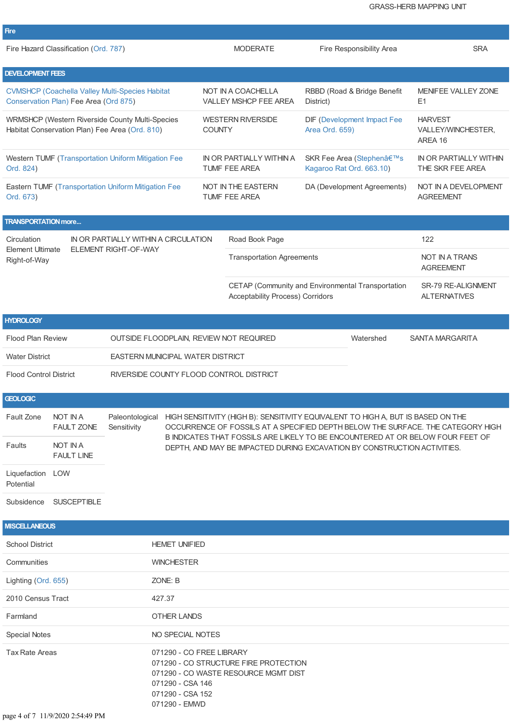| <b>Fire</b>                                                                                       |                                       |                                                            |                                                                                   |                                               |                                                                                                                                                                                                                                                       |                                                                          |                                            |
|---------------------------------------------------------------------------------------------------|---------------------------------------|------------------------------------------------------------|-----------------------------------------------------------------------------------|-----------------------------------------------|-------------------------------------------------------------------------------------------------------------------------------------------------------------------------------------------------------------------------------------------------------|--------------------------------------------------------------------------|--------------------------------------------|
|                                                                                                   | Fire Hazard Classification (Ord. 787) |                                                            |                                                                                   |                                               | <b>MODERATE</b>                                                                                                                                                                                                                                       | Fire Responsibility Area                                                 | <b>SRA</b>                                 |
| <b>DEVELOPMENT FEES</b>                                                                           |                                       |                                                            |                                                                                   |                                               |                                                                                                                                                                                                                                                       |                                                                          |                                            |
|                                                                                                   | Conservation Plan) Fee Area (Ord 875) | <b>CVMSHCP (Coachella Valley Multi-Species Habitat</b>     |                                                                                   |                                               | NOT IN A COACHELLA<br><b>VALLEY MSHCP FEE AREA</b>                                                                                                                                                                                                    | RBBD (Road & Bridge Benefit<br>District)                                 | <b>MENIFEE VALLEY ZONE</b><br>E1           |
| WRMSHCP (Western Riverside County Multi-Species<br>Habitat Conservation Plan) Fee Area (Ord. 810) |                                       | <b>COUNTY</b>                                              | <b>WESTERN RIVERSIDE</b>                                                          | DIF (Development Impact Fee<br>Area Ord. 659) | <b>HARVEST</b><br>VALLEY/WINCHESTER.<br>AREA 16                                                                                                                                                                                                       |                                                                          |                                            |
| Ord. 824)                                                                                         |                                       | <b>Western TUMF (Transportation Uniform Mitigation Fee</b> |                                                                                   |                                               | IN OR PARTIALLY WITHIN A<br><b>TUMF FEE AREA</b>                                                                                                                                                                                                      | SKR Fee Area (Stephen's<br>Kagaroo Rat Ord. 663.10)                      | IN OR PARTIALLY WITHIN<br>THE SKR FEE AREA |
| Ord. 673)                                                                                         |                                       | Eastern TUMF (Transportation Uniform Mitigation Fee        |                                                                                   |                                               | NOT IN THE EASTERN<br><b>TUMF FEE AREA</b>                                                                                                                                                                                                            | DA (Development Agreements)                                              | NOT IN A DEVELOPMENT<br><b>AGREEMENT</b>   |
| <b>TRANSPORTATION more</b>                                                                        |                                       |                                                            |                                                                                   |                                               |                                                                                                                                                                                                                                                       |                                                                          |                                            |
| Circulation                                                                                       |                                       | IN OR PARTIALLY WITHIN A CIRCULATION                       |                                                                                   |                                               | Road Book Page                                                                                                                                                                                                                                        |                                                                          | 122                                        |
| <b>Element Ultimate</b><br>Right-of-Way                                                           |                                       | ELEMENT RIGHT-OF-WAY                                       |                                                                                   |                                               | <b>Transportation Agreements</b>                                                                                                                                                                                                                      |                                                                          | <b>NOT IN A TRANS</b><br><b>AGREEMENT</b>  |
|                                                                                                   |                                       |                                                            |                                                                                   |                                               | Acceptability Process) Corridors                                                                                                                                                                                                                      | CETAP (Community and Environmental Transportation                        | SR-79 RE-ALIGNMENT<br><b>ALTERNATIVES</b>  |
| <b>HYDROLOGY</b>                                                                                  |                                       |                                                            |                                                                                   |                                               |                                                                                                                                                                                                                                                       |                                                                          |                                            |
| <b>Flood Plan Review</b>                                                                          |                                       | OUTSIDE FLOODPLAIN, REVIEW NOT REQUIRED                    |                                                                                   |                                               |                                                                                                                                                                                                                                                       | Watershed                                                                | <b>SANTA MARGARITA</b>                     |
| <b>Water District</b>                                                                             |                                       | EASTERN MUNICIPAL WATER DISTRICT                           |                                                                                   |                                               |                                                                                                                                                                                                                                                       |                                                                          |                                            |
| <b>Flood Control District</b>                                                                     |                                       |                                                            |                                                                                   | RIVERSIDE COUNTY FLOOD CONTROL DISTRICT       |                                                                                                                                                                                                                                                       |                                                                          |                                            |
| <b>GEOLOGIC</b>                                                                                   |                                       |                                                            |                                                                                   |                                               |                                                                                                                                                                                                                                                       |                                                                          |                                            |
| Fault Zone                                                                                        | <b>NOT IN A</b><br><b>FAULT ZONE</b>  | Paleontological<br>Sensitivity                             |                                                                                   |                                               | HIGH SENSITIVITY (HIGH B): SENSITIVITY EQUIVALENT TO HIGH A, BUT IS BASED ON THE<br>OCCURRENCE OF FOSSILS AT A SPECIFIED DEPTH BELOW THE SURFACE. THE CATEGORY HIGH<br>B INDICATES THAT FOSSILS ARE LIKELY TO BE ENCOUNTERED AT OR BELOW FOUR FEET OF |                                                                          |                                            |
| Faults                                                                                            | <b>NOT IN A</b><br><b>FAULT LINE</b>  |                                                            |                                                                                   |                                               |                                                                                                                                                                                                                                                       | DEPTH. AND MAY BE IMPACTED DURING EXCAVATION BY CONSTRUCTION ACTIVITIES. |                                            |
| Liquefaction LOW<br>Potential                                                                     |                                       |                                                            |                                                                                   |                                               |                                                                                                                                                                                                                                                       |                                                                          |                                            |
| Subsidence                                                                                        | <b>SUSCEPTIBLE</b>                    |                                                            |                                                                                   |                                               |                                                                                                                                                                                                                                                       |                                                                          |                                            |
| <b>MISCELLANEOUS</b>                                                                              |                                       |                                                            |                                                                                   |                                               |                                                                                                                                                                                                                                                       |                                                                          |                                            |
| <b>School District</b>                                                                            |                                       |                                                            | <b>HEMET UNIFIED</b>                                                              |                                               |                                                                                                                                                                                                                                                       |                                                                          |                                            |
| Communities                                                                                       |                                       |                                                            | <b>WINCHESTER</b>                                                                 |                                               |                                                                                                                                                                                                                                                       |                                                                          |                                            |
| Lighting (Ord. 655)                                                                               |                                       |                                                            | ZONE: B                                                                           |                                               |                                                                                                                                                                                                                                                       |                                                                          |                                            |
| 2010 Census Tract<br>427.37                                                                       |                                       |                                                            |                                                                                   |                                               |                                                                                                                                                                                                                                                       |                                                                          |                                            |
| Farmland                                                                                          |                                       |                                                            | OTHER LANDS                                                                       |                                               |                                                                                                                                                                                                                                                       |                                                                          |                                            |
| <b>Special Notes</b>                                                                              |                                       |                                                            | NO SPECIAL NOTES                                                                  |                                               |                                                                                                                                                                                                                                                       |                                                                          |                                            |
| <b>Tax Rate Areas</b>                                                                             |                                       |                                                            | 071290 - CO FREE LIBRARY<br>071290 - CSA 146<br>071290 - CSA 152<br>071290 - EMWD |                                               | 071290 - CO STRUCTURE FIRE PROTECTION<br>071290 - CO WASTE RESOURCE MGMT DIST                                                                                                                                                                         |                                                                          |                                            |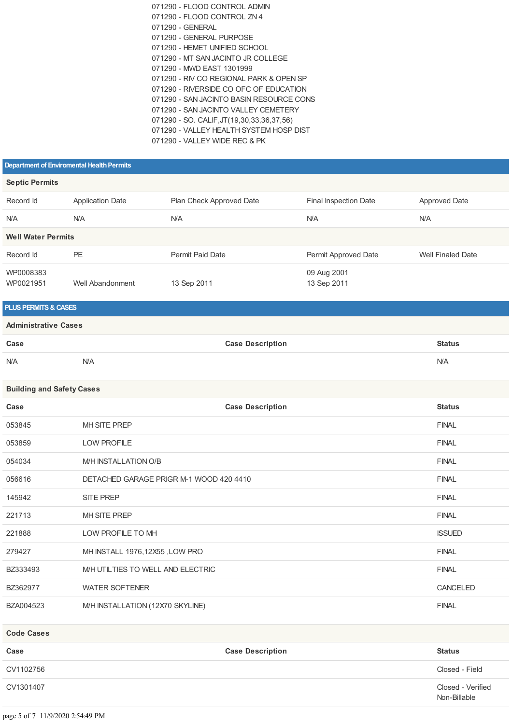| 071290 - ELOOD CONTROL ADMIN              |
|-------------------------------------------|
| 071290 - FLOOD CONTROL ZN 4               |
| 071290 - GENERAL                          |
| 071290 - GENERAL PURPOSE                  |
| 071290 - HEMET UNIFIED SCHOOL             |
| 071290 - MT SAN JACINTO JR COLLEGE        |
| 071290 - MWD EAST 1301999                 |
| 071290 - RIV CO REGIONAL PARK & OPEN SP   |
| 071290 - RIVERSIDE CO OFC OF EDUCATION    |
| 071290 - SAN JACINTO BASIN RESOURCE CONS  |
| 071290 - SAN JACINTO VALLEY CEMETERY      |
| 071290 - SO. CALIF, JT(19,30,33,36,37,56) |
| 071290 - VALLEY HEALTH SYSTEM HOSP DIST   |
| 071290 - VALLEY WIDE REC & PK             |
|                                           |

#### **Department of Enviromental Health Permits**

| <b>Septic Permits</b>     |                         |                          |                              |                          |  |
|---------------------------|-------------------------|--------------------------|------------------------------|--------------------------|--|
| Record Id                 | <b>Application Date</b> | Plan Check Approved Date | <b>Final Inspection Date</b> | Approved Date            |  |
| <b>N/A</b>                | <b>N/A</b>              | <b>N/A</b>               | <b>N/A</b>                   | <b>N/A</b>               |  |
| <b>Well Water Permits</b> |                         |                          |                              |                          |  |
| Record Id                 | PE                      | Permit Paid Date         | Permit Approved Date         | <b>Well Finaled Date</b> |  |
| WP0008383<br>WP0021951    | Well Abandonment        | 13 Sep 2011              | 09 Aug 2001<br>13 Sep 2011   |                          |  |

## **PLUS PERMITS & CASES**

#### **Administrative Cases**

| Case       |            | <b>Case Description</b> | ՟tatus<br>. |
|------------|------------|-------------------------|-------------|
| <b>N/A</b> | <b>N/A</b> |                         | <b>N/A</b>  |

#### **Building and Safety Cases**

| Case              | <b>Case Description</b>                 | <b>Status</b>  |
|-------------------|-----------------------------------------|----------------|
| 053845            | MH SITE PREP                            | <b>FINAL</b>   |
| 053859            | <b>LOW PROFILE</b>                      | <b>FINAL</b>   |
| 054034            | M/H INSTALLATION O/B                    | <b>FINAL</b>   |
| 056616            | DETACHED GARAGE PRIGR M-1 WOOD 420 4410 | <b>FINAL</b>   |
| 145942            | <b>SITE PREP</b>                        | <b>FINAL</b>   |
| 221713            | MH SITE PREP                            | <b>FINAL</b>   |
| 221888            | LOW PROFILE TO MH                       | <b>ISSUED</b>  |
| 279427            | MH INSTALL 1976,12X55, LOW PRO          | <b>FINAL</b>   |
| BZ333493          | M/H UTILTIES TO WELL AND ELECTRIC       | <b>FINAL</b>   |
| BZ362977          | <b>WATER SOFTENER</b>                   | CANCELED       |
| BZA004523         | M/H INSTALLATION (12X70 SKYLINE)        | <b>FINAL</b>   |
| <b>Code Cases</b> |                                         |                |
| Case              | <b>Case Description</b>                 | <b>Status</b>  |
| CV1102756         |                                         | Closed - Field |

Non-Billable

CV1301407 Closed - Verified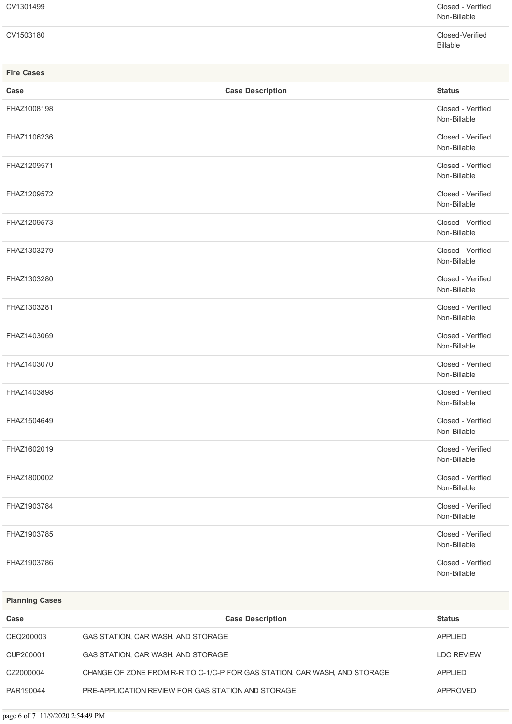| CV1301499 | Closed - Verified<br>Non-Billable |
|-----------|-----------------------------------|
| CV1503180 | Closed-Verified                   |

Billable

| <b>Fire Cases</b> |                         |                                   |
|-------------------|-------------------------|-----------------------------------|
| Case              | <b>Case Description</b> | <b>Status</b>                     |
| FHAZ1008198       |                         | Closed - Verified<br>Non-Billable |
| FHAZ1106236       |                         | Closed - Verified<br>Non-Billable |
| FHAZ1209571       |                         | Closed - Verified<br>Non-Billable |
| FHAZ1209572       |                         | Closed - Verified<br>Non-Billable |
| FHAZ1209573       |                         | Closed - Verified<br>Non-Billable |
| FHAZ1303279       |                         | Closed - Verified<br>Non-Billable |
| FHAZ1303280       |                         | Closed - Verified<br>Non-Billable |
| FHAZ1303281       |                         | Closed - Verified<br>Non-Billable |
| FHAZ1403069       |                         | Closed - Verified<br>Non-Billable |
| FHAZ1403070       |                         | Closed - Verified<br>Non-Billable |
| FHAZ1403898       |                         | Closed - Verified<br>Non-Billable |
| FHAZ1504649       |                         | Closed - Verified<br>Non-Billable |
| FHAZ1602019       |                         | Closed - Verified<br>Non-Billable |
| FHAZ1800002       |                         | Closed - Verified<br>Non-Billable |
| FHAZ1903784       |                         | Closed - Verified<br>Non-Billable |
| FHAZ1903785       |                         | Closed - Verified<br>Non-Billable |
| FHAZ1903786       |                         | Closed - Verified<br>Non-Billable |

| <b>Planning Cases</b> |                                                                           |                   |
|-----------------------|---------------------------------------------------------------------------|-------------------|
| Case                  | <b>Case Description</b>                                                   | <b>Status</b>     |
| CEQ200003             | GAS STATION, CAR WASH, AND STORAGE                                        | APPLIED           |
| CUP200001             | GAS STATION, CAR WASH, AND STORAGE                                        | <b>LDC REVIEW</b> |
| CZ2000004             | CHANGE OF ZONE FROM R-R TO C-1/C-P FOR GAS STATION, CAR WASH, AND STORAGE | <b>APPLIED</b>    |
| PAR190044             | PRE-APPLICATION REVIEW FOR GAS STATION AND STORAGE                        | <b>APPROVED</b>   |